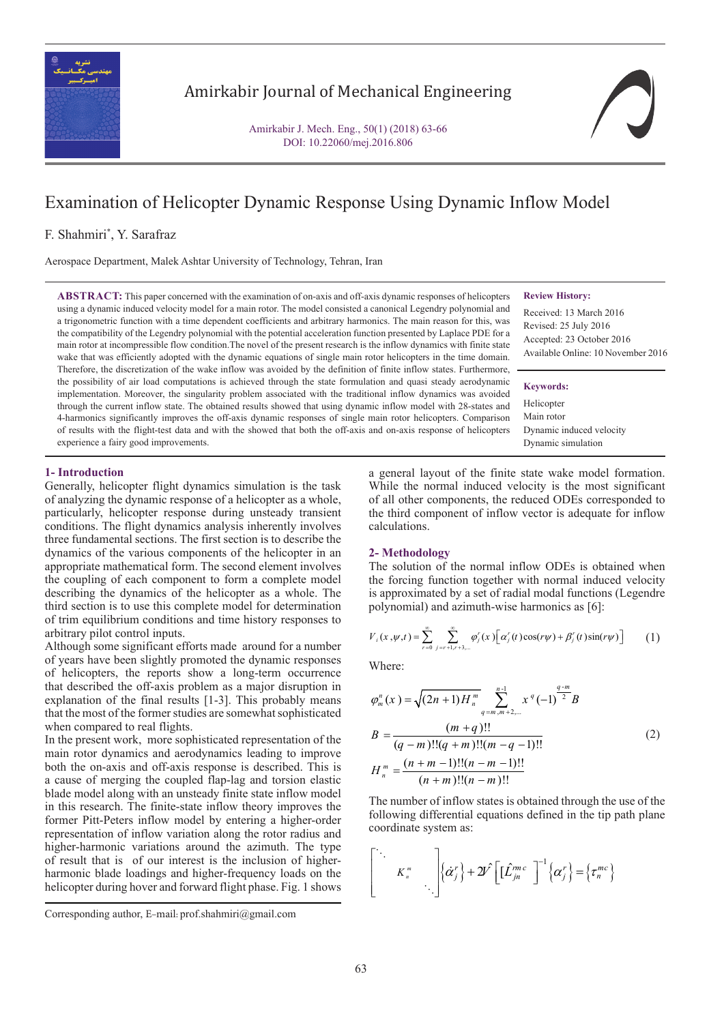

## Amirkabir Journal of Mechanical Engineering

Amirkabir J. Mech. Eng., 50(1) (2018) 63-66 DOI: 10.22060/mej.2016.806

# Examination of Helicopter Dynamic Response Using Dynamic Inflow Model

## F. Shahmiri\* , Y. Sarafraz

Aerospace Department, Malek Ashtar University of Technology, Tehran, Iran

**ABSTRACT:** This paper concerned with the examination of on-axis and off-axis dynamic responses of helicopters using a dynamic induced velocity model for a main rotor. The model consisted a canonical Legendry polynomial and a trigonometric function with a time dependent coefficients and arbitrary harmonics. The main reason for this, was the compatibility of the Legendry polynomial with the potential acceleration function presented by Laplace PDE for a main rotor at incompressible flow condition.The novel of the present research is the inflow dynamics with finite state wake that was efficiently adopted with the dynamic equations of single main rotor helicopters in the time domain. Therefore, the discretization of the wake inflow was avoided by the definition of finite inflow states. Furthermore, the possibility of air load computations is achieved through the state formulation and quasi steady aerodynamic implementation. Moreover, the singularity problem associated with the traditional inflow dynamics was avoided through the current inflow state. The obtained results showed that using dynamic inflow model with 28-states and 4-harmonics significantly improves the off-axis dynamic responses of single main rotor helicopters. Comparison of results with the flight-test data and with the showed that both the off-axis and on-axis response of helicopters experience a fairy good improvements.

#### **Review History:**

Received: 13 March 2016 Revised: 25 July 2016 Accepted: 23 October 2016 Available Online: 10 November 2016

#### **Keywords:**

**Helicopter** Main rotor Dynamic induced velocity Dynamic simulation

## **1- Introduction**

Generally, helicopter flight dynamics simulation is the task of analyzing the dynamic response of a helicopter as a whole, particularly, helicopter response during unsteady transient conditions. The flight dynamics analysis inherently involves three fundamental sections. The first section is to describe the dynamics of the various components of the helicopter in an appropriate mathematical form. The second element involves the coupling of each component to form a complete model describing the dynamics of the helicopter as a whole. The third section is to use this complete model for determination of trim equilibrium conditions and time history responses to arbitrary pilot control inputs.

Although some significant efforts made around for a number of years have been slightly promoted the dynamic responses of helicopters, the reports show a long-term occurrence that described the off-axis problem as a major disruption in explanation of the final results [1-3]. This probably means that the most of the former studies are somewhat sophisticated when compared to real flights.

In the present work, more sophisticated representation of the main rotor dynamics and aerodynamics leading to improve both the on-axis and off-axis response is described. This is a cause of merging the coupled flap-lag and torsion elastic blade model along with an unsteady finite state inflow model in this research. The finite-state inflow theory improves the former Pitt-Peters inflow model by entering a higher-order representation of inflow variation along the rotor radius and higher-harmonic variations around the azimuth. The type of result that is of our interest is the inclusion of higherharmonic blade loadings and higher-frequency loads on the helicopter during hover and forward flight phase. Fig. 1 shows

a general layout of the finite state wake model formation. While the normal induced velocity is the most significant of all other components, the reduced ODEs corresponded to the third component of inflow vector is adequate for inflow calculations.

#### **2- Methodology**

The solution of the normal inflow ODEs is obtained when the forcing function together with normal induced velocity is approximated by a set of radial modal functions (Legendre polynomial) and azimuth-wise harmonics as [6]:

$$
V_{i}(x, \psi, t) = \sum_{r=0}^{\infty} \sum_{j=r+1, r+3, \dots}^{\infty} \varphi_{j}^{r}(x) \left[ \alpha_{j}^{r}(t) \cos(r\psi) + \beta_{j}^{r}(t) \sin(r\psi) \right]
$$
 (1)

Where:

$$
\varphi_m^n(x) = \sqrt{(2n+1)H_n^m} \sum_{q=m,m+2,\dots}^{n-1} x^q (-1)^{\frac{q-m}{2}} B
$$
  
\n
$$
B = \frac{(m+q)!!}{(q-m)!!(q+m)!!(m-q-1)!!}
$$
  
\n
$$
H_n^m = \frac{(n+m-1)!!(n-m-1)!!}{(n+m)!!(n-m)!!}
$$
\n(2)

The number of inflow states is obtained through the use of the<br>following differential equations defined in the tip path plane. The number of inflow states is obtained through the use of the following differential equations defined in the tip path plane ˆ ˆ 2 *<sup>m</sup>* coordinate s coordinate system as:  ${\bf m}$  as:

$$
\begin{bmatrix}\n\ddots & & \\
& K_n^m & \\
& & \ddots\n\end{bmatrix}\n\{\dot{\alpha}_j^r\} + 2\hat{V} \left[ \begin{bmatrix} \hat{L}_{jn}^{mc} \\ \end{bmatrix}^{-1} \left\{ \alpha_j^r \right\} = \left\{ \tau_n^{mc} \right\}
$$

Corresponding author, E-mail: prof.shahmiri@gmail.com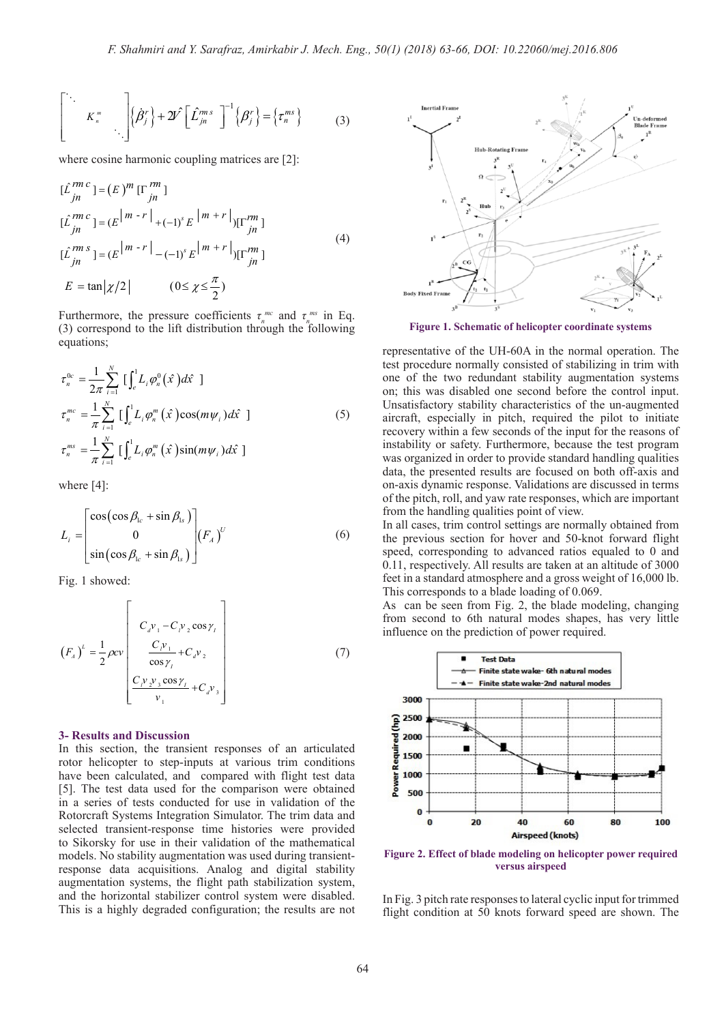$$
\begin{bmatrix}\n\ddots & & \\
& K_n^m & \\
& & \ddots\n\end{bmatrix}\n\left\{\n\dot{B}_j^r\n\right\} + 2\hat{V}\n\begin{bmatrix}\n\hat{L}_{jn}^{ms} \\
\ddots\n\end{bmatrix}^{-1}\n\left\{\n\begin{bmatrix}\n\beta_j^r\n\end{bmatrix} = \left\{\n\tau_n^{ms}\n\right\}\n\tag{3}
$$

where cosine harmonic coupling matrices are [2]:  $\overline{R}$   $\overline{R}$   $\overline{R}$   $\overline{R}$   $\overline{R}$   $\overline{R}$   $\overline{R}$   $\overline{R}$   $\overline{R}$   $\overline{R}$   $\overline{R}$   $\overline{R}$   $\overline{R}$   $\overline{R}$   $\overline{R}$   $\overline{R}$   $\overline{R}$   $\overline{R}$   $\overline{R}$   $\overline{R}$   $\overline{R}$   $\overline{R}$   $\overline{R}$   $\overline{R}$   $\overline{$  $\mathbf{r}$  $\mathbf{u}$ -<br>*vhere cosine harmo* where cosine i

where cosine harmonic coupling matrices are [2]:  
\n
$$
[\hat{L}_{jn}^{rm \ c}] = (E)^m [\Gamma_{jn}^{rm}]
$$
\n
$$
[\hat{L}_{jn}^{rm \ c}] = (E^{|m-r|} + (-1)^s E^{|m+r|}][\Gamma_{jn}^{rm}]
$$
\n
$$
[\hat{L}_{jn}^{rm \ s}] = (E^{|m-r|} - (-1)^s E^{|m+r|}][\Gamma_{jn}^{rm}]
$$
\n
$$
E = \tan |\chi/2| \qquad (0 \le \chi \le \frac{\pi}{2})
$$
\n(4)

Furthermore, the pressure coefficients  $\tau_n^{m\alpha}$  and  $\tau_n^{m\alpha}$  in Eq.<br>(3) correspond to the lift distribution through the following equations; Furthermore, the pressure coefficients  $\tau_n^{mc}$  and  $\tau_{n_s}^{ms}$  in Eq.  ${equations;}$ *<sup>N</sup> mc <sup>m</sup>*  $\cos$ , χ χ  $E = \tan |\chi/2|$   $(0 \le \chi \le \frac{\pi}{2})$ <br>Furthermore, the pressure coefficients  $\tau_n$ <br>(3) correspond to the lift distribution throw

$$
\tau_n^{0c} = \frac{1}{2\pi} \sum_{i=1}^N \left[ \int_e^1 L_i \varphi_n^0(\hat{x}) d\hat{x} \right]
$$
  
\n
$$
\tau_n^{mc} = \frac{1}{\pi} \sum_{i=1}^N \left[ \int_e^1 L_i \varphi_n^m(\hat{x}) \cos(m\psi_i) d\hat{x} \right]
$$
  
\n
$$
\tau_n^{ms} = \frac{1}{\pi} \sum_{i=1}^N \left[ \int_e^1 L_i \varphi_n^m(\hat{x}) \sin(m\psi_i) d\hat{x} \right]
$$
  
\nwhere [4]:

 $\mathbf{r}^{(i)}$  ( ) and ( ) and ( sin cos sin + cos cos sin + where  $[4]$ :

$$
L_{i} = \begin{bmatrix} \cos(\cos \beta_{1c} + \sin \beta_{1s}) \\ 0 \\ \sin(\cos \beta_{1c} + \sin \beta_{1s}) \end{bmatrix} (F_{A})^{U}
$$
 (6)

Fig. 1 showed:  $rac{1}{2}$  cost  $rac{1}{2}$  $\mathbf{r} = \mathbf{r} \times \mathbf{r}$  , where  $\mathbf{r} = \mathbf{r} \times \mathbf{r}$ e de la construcción de la construcción

$$
(F_A)^{L} = \frac{1}{2} \rho c v \left[ C_v v_1 - C_v v_2 \cos \gamma_t \right]
$$
  

$$
\left[ C_v v_1 + C_v v_2 \right]
$$
  

$$
\left[ C_v v_2 v_3 \cos \gamma_t + C_v v_3 \right]
$$
  

$$
\left[ C_v v_2 v_3 \cos \gamma_t + C_v v_3 \right]
$$
  
(7)

in a complete the state of the state of the state of the state of the state of the state of the state of the s<br>See the state of the state of the state of the state of the state of the state of the state of the state of th

#### **3- Results and Discussion**

In this section, the transient responses of an articulated rotor helicopter to step-inputs at various trim conditions have been calculated, and compared with flight test data [5]. The test data used for the comparison were obtained in a series of tests conducted for use in validation of the Rotorcraft Systems Integration Simulator. The trim data and selected transient-response time histories were provided to Sikorsky for use in their validation of the mathematical models. No stability augmentation was used during transientresponse data acquisitions. Analog and digital stability augmentation systems, the flight path stabilization system, and the horizontal stabilizer control system were disabled. This is a highly degraded configuration; the results are not



**Figure 1. Schematic of helicopter coordinate systems**

representative of the UH-60A in the normal operation. The test procedure normally consisted of stabilizing in trim with one of the two redundant stability augmentation systems on; this was disabled one second before the control input. Unsatisfactory stability characteristics of the un-augmented aircraft, especially in pitch, required the pilot to initiate recovery within a few seconds of the input for the reasons of instability or safety. Furthermore, because the test program was organized in order to provide standard handling qualities data, the presented results are focused on both off-axis and on-axis dynamic response. Validations are discussed in terms of the pitch, roll, and yaw rate responses, which are important from the handling qualities point of view.

In all cases, trim control settings are normally obtained from the previous section for hover and 50-knot forward flight speed, corresponding to advanced ratios equaled to 0 and 0.11, respectively. All results are taken at an altitude of 3000 feet in a standard atmosphere and a gross weight of 16,000 lb. This corresponds to a blade loading of 0.069.

As can be seen from Fig. 2, the blade modeling, changing from second to 6th natural modes shapes, has very little influence on the prediction of power required.



**Figure 2. Effect of blade modeling on helicopter power required versus airspeed**

In Fig. 3 pitch rate responses to lateral cyclic input for trimmed flight condition at 50 knots forward speed are shown. The